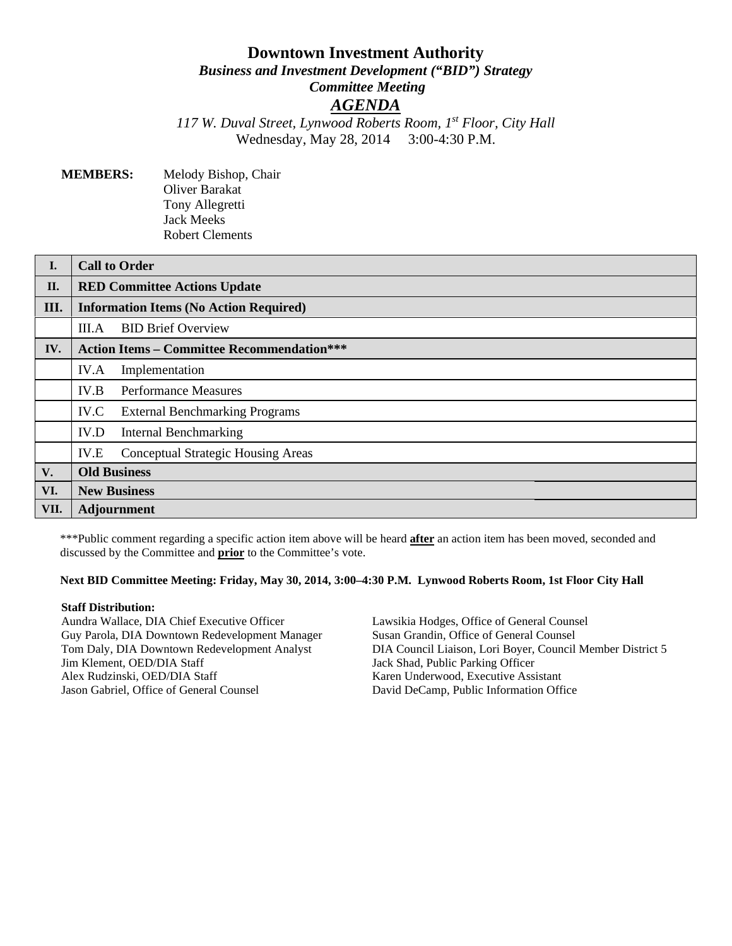# **Downtown Investment Authority**

*Business and Investment Development ("BID") Strategy Committee Meeting*

# *AGENDA*

*117 W. Duval Street, Lynwood Roberts Room, 1st Floor, City Hall* Wednesday, May 28, 2014 3:00-4:30 P.M.

**MEMBERS:** Melody Bishop, Chair Oliver Barakat Tony Allegretti Jack Meeks Robert Clements

| I.   | <b>Call to Order</b>                              |  |
|------|---------------------------------------------------|--|
| II.  | <b>RED Committee Actions Update</b>               |  |
| III. | <b>Information Items (No Action Required)</b>     |  |
|      | <b>BID Brief Overview</b><br>III.A                |  |
| IV.  | <b>Action Items - Committee Recommendation***</b> |  |
|      | IV.A<br>Implementation                            |  |
|      | IV.B<br><b>Performance Measures</b>               |  |
|      | IV.C<br><b>External Benchmarking Programs</b>     |  |
|      | IV.D<br><b>Internal Benchmarking</b>              |  |
|      | <b>Conceptual Strategic Housing Areas</b><br>IV.E |  |
| V.   | <b>Old Business</b>                               |  |
| VI.  | <b>New Business</b>                               |  |
| VII. | <b>Adjournment</b>                                |  |

\*\*\*Public comment regarding a specific action item above will be heard **after** an action item has been moved, seconded and discussed by the Committee and **prior** to the Committee's vote.

#### **Next BID Committee Meeting: Friday, May 30, 2014, 3:00–4:30 P.M. Lynwood Roberts Room, 1st Floor City Hall**

#### **Staff Distribution:**

Aundra Wallace, DIA Chief Executive Officer Guy Parola, DIA Downtown Redevelopment Manager Tom Daly, DIA Downtown Redevelopment Analyst Jim Klement, OED/DIA Staff Alex Rudzinski, OED/DIA Staff Jason Gabriel, Office of General Counsel

Lawsikia Hodges, Office of General Counsel Susan Grandin, Office of General Counsel DIA Council Liaison, Lori Boyer, Council Member District 5 Jack Shad, Public Parking Officer Karen Underwood, Executive Assistant David DeCamp, Public Information Office